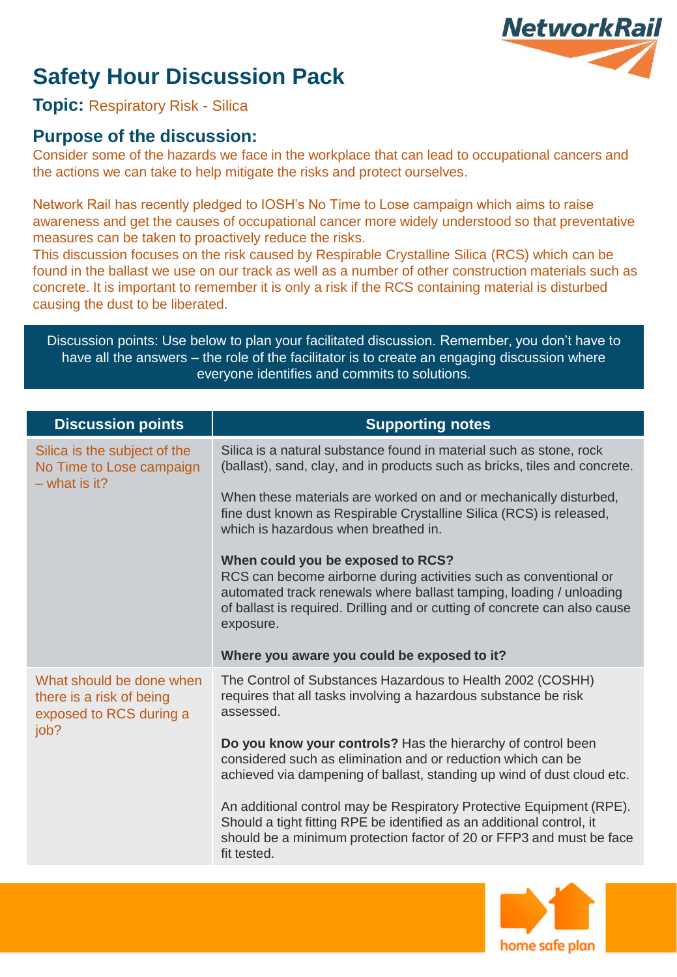# **Safety Hour Discussion Pack**



**Topic:** Respiratory Risk - Silica

### **Purpose of the discussion:**

Consider some of the hazards we face in the workplace that can lead to occupational cancers and the actions we can take to help mitigate the risks and protect ourselves.

Network Rail has recently pledged to IOSH's No Time to Lose campaign which aims to raise awareness and get the causes of occupational cancer more widely understood so that preventative measures can be taken to proactively reduce the risks.

This discussion focuses on the risk caused by Respirable Crystalline Silica (RCS) which can be found in the ballast we use on our track as well as a number of other construction materials such as concrete. It is important to remember it is only a risk if the RCS containing material is disturbed causing the dust to be liberated.

Discussion points: Use below to plan your facilitated discussion. Remember, you don't have to have all the answers – the role of the facilitator is to create an engaging discussion where everyone identifies and commits to solutions.

| <b>Discussion points</b>                                                                | <b>Supporting notes</b>                                                                                                                                                                                                                                                  |
|-----------------------------------------------------------------------------------------|--------------------------------------------------------------------------------------------------------------------------------------------------------------------------------------------------------------------------------------------------------------------------|
| Silica is the subject of the<br>No Time to Lose campaign<br>$-$ what is it?             | Silica is a natural substance found in material such as stone, rock<br>(ballast), sand, clay, and in products such as bricks, tiles and concrete.                                                                                                                        |
|                                                                                         | When these materials are worked on and or mechanically disturbed,<br>fine dust known as Respirable Crystalline Silica (RCS) is released,<br>which is hazardous when breathed in.                                                                                         |
|                                                                                         | When could you be exposed to RCS?<br>RCS can become airborne during activities such as conventional or<br>automated track renewals where ballast tamping, loading / unloading<br>of ballast is required. Drilling and or cutting of concrete can also cause<br>exposure. |
|                                                                                         | Where you aware you could be exposed to it?                                                                                                                                                                                                                              |
| What should be done when<br>there is a risk of being<br>exposed to RCS during a<br>job? | The Control of Substances Hazardous to Health 2002 (COSHH)<br>requires that all tasks involving a hazardous substance be risk<br>assessed.                                                                                                                               |
|                                                                                         | Do you know your controls? Has the hierarchy of control been<br>considered such as elimination and or reduction which can be<br>achieved via dampening of ballast, standing up wind of dust cloud etc.                                                                   |
|                                                                                         | An additional control may be Respiratory Protective Equipment (RPE).<br>Should a tight fitting RPE be identified as an additional control, it<br>should be a minimum protection factor of 20 or FFP3 and must be face<br>fit tested.                                     |